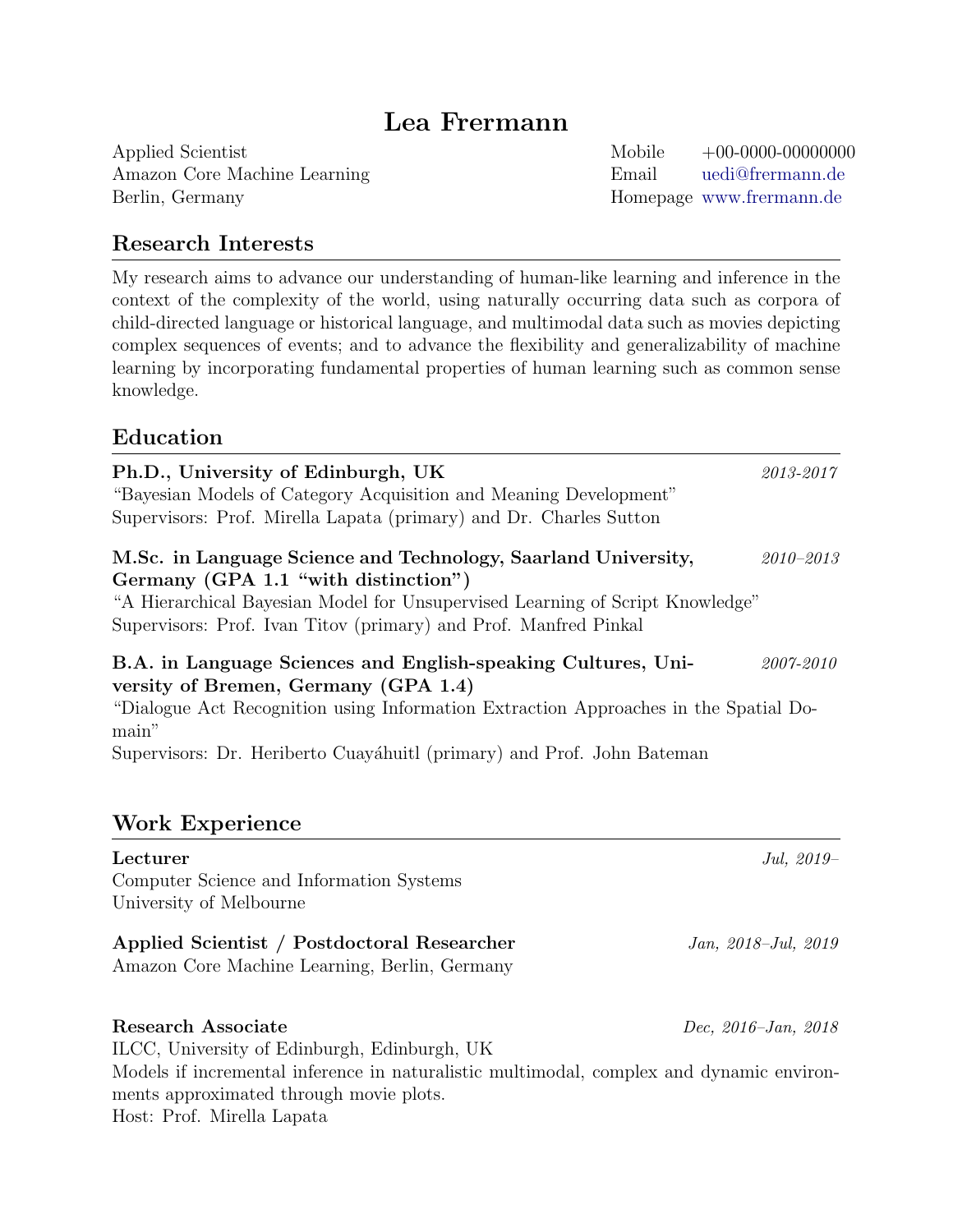# Lea Frermann

Applied Scientist Mobile +00-0000-00000000 Amazon Core Machine Learning Email [uedi@frermann.de](mailto:uedi@frermann.de) Berlin, Germany Homepage <www.frermann.de>

# Research Interests

My research aims to advance our understanding of human-like learning and inference in the context of the complexity of the world, using naturally occurring data such as corpora of child-directed language or historical language, and multimodal data such as movies depicting complex sequences of events; and to advance the flexibility and generalizability of machine learning by incorporating fundamental properties of human learning such as common sense knowledge.

## Education

| Ph.D., University of Edinburgh, UK<br>"Bayesian Models of Category Acquisition and Meaning Development"<br>Supervisors: Prof. Mirella Lapata (primary) and Dr. Charles Sutton                                                                                                    | 2013-2017                  |
|----------------------------------------------------------------------------------------------------------------------------------------------------------------------------------------------------------------------------------------------------------------------------------|----------------------------|
| M.Sc. in Language Science and Technology, Saarland University,<br>Germany (GPA 1.1 "with distinction")<br>"A Hierarchical Bayesian Model for Unsupervised Learning of Script Knowledge"<br>Supervisors: Prof. Ivan Titov (primary) and Prof. Manfred Pinkal                      | $2010 - 2013$              |
| B.A. in Language Sciences and English-speaking Cultures, Uni-<br>versity of Bremen, Germany (GPA 1.4)<br>"Dialogue Act Recognition using Information Extraction Approaches in the Spatial Do-<br>main"<br>Supervisors: Dr. Heriberto Cuayáhuitl (primary) and Prof. John Bateman | 2007-2010                  |
| <b>Work Experience</b>                                                                                                                                                                                                                                                           |                            |
| Lecturer<br>Computer Science and Information Systems<br>University of Melbourne                                                                                                                                                                                                  | Jul, 2019-                 |
| Applied Scientist / Postdoctoral Researcher<br>Amazon Core Machine Learning, Berlin, Germany                                                                                                                                                                                     | Jan, 2018–Jul, 2019        |
| <b>Research Associate</b><br>ILCC, University of Edinburgh, Edinburgh, UK<br>Models if incremental inference in naturalistic multimodal, complex and dynamic environ-                                                                                                            | Dec, $2016 - Jan$ , $2018$ |
| ments approximated through movie plots.<br>Host: Prof. Mirella Lapata                                                                                                                                                                                                            |                            |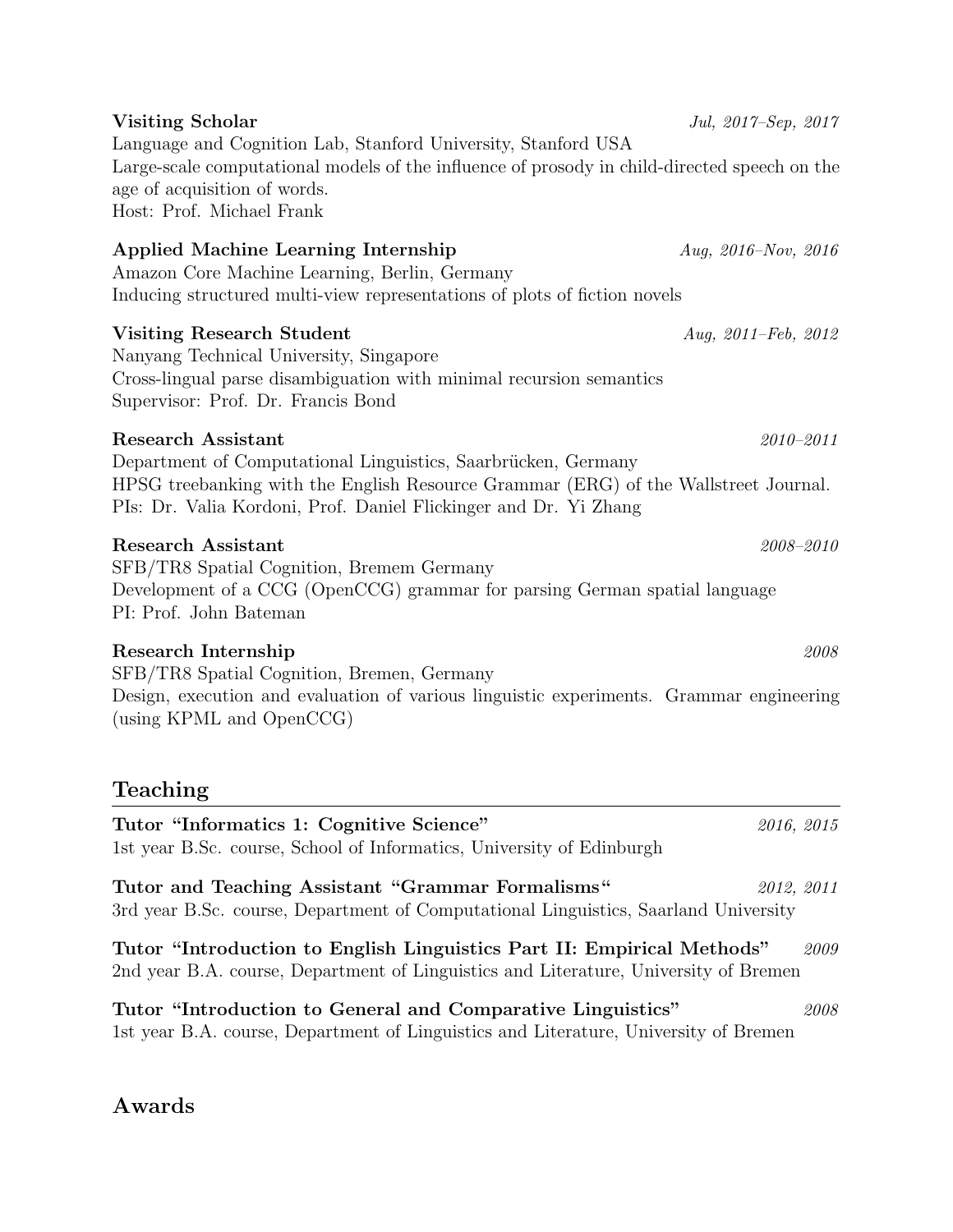| age of acquisition of words.<br>Host: Prof. Michael Frank                                                                                                                                                                                             |                            |
|-------------------------------------------------------------------------------------------------------------------------------------------------------------------------------------------------------------------------------------------------------|----------------------------|
| <b>Applied Machine Learning Internship</b><br>Amazon Core Machine Learning, Berlin, Germany<br>Inducing structured multi-view representations of plots of fiction novels                                                                              | Aug, $2016 - Nov$ , $2016$ |
| <b>Visiting Research Student</b><br>Nanyang Technical University, Singapore<br>Cross-lingual parse disambiguation with minimal recursion semantics<br>Supervisor: Prof. Dr. Francis Bond                                                              | Aug, $2011 - Feb$ , $2012$ |
| <b>Research Assistant</b><br>Department of Computational Linguistics, Saarbrücken, Germany<br>HPSG treebanking with the English Resource Grammar (ERG) of the Wallstreet Journal.<br>PIs: Dr. Valia Kordoni, Prof. Daniel Flickinger and Dr. Yi Zhang | $2010 - 2011$              |
| <b>Research Assistant</b><br>SFB/TR8 Spatial Cognition, Bremem Germany<br>Development of a CCG (OpenCCG) grammar for parsing German spatial language<br>PI: Prof. John Bateman                                                                        | $2008 - 2010$              |
| Research Internship<br>SFB/TR8 Spatial Cognition, Bremen, Germany<br>Design, execution and evaluation of various linguistic experiments. Grammar engineering<br>(using KPML and OpenCCG)                                                              | 2008                       |
| Teaching                                                                                                                                                                                                                                              |                            |
| Tutor "Informatics 1: Cognitive Science"<br>1st year B.Sc. course, School of Informatics, University of Edinburgh                                                                                                                                     | 2016, 2015                 |
| Tutor and Teaching Assistant "Grammar Formalisms"<br>3rd year B.Sc. course, Department of Computational Linguistics, Saarland University                                                                                                              | 2012, 2011                 |
| Tutor "Introduction to English Linguistics Part II: Empirical Methods"<br>2nd year B.A. course, Department of Linguistics and Literature, University of Bremen                                                                                        | 2009                       |
| Tutor "Introduction to General and Comparative Linguistics"<br>1st year B.A. course, Department of Linguistics and Literature, University of Bremen                                                                                                   | 2008                       |

Visiting Scholar *Jul, 2017–Sep, 2017* 

Large-scale computational models of the influence of prosody in child-directed speech on the

Language and Cognition Lab, Stanford University, Stanford USA

# Awards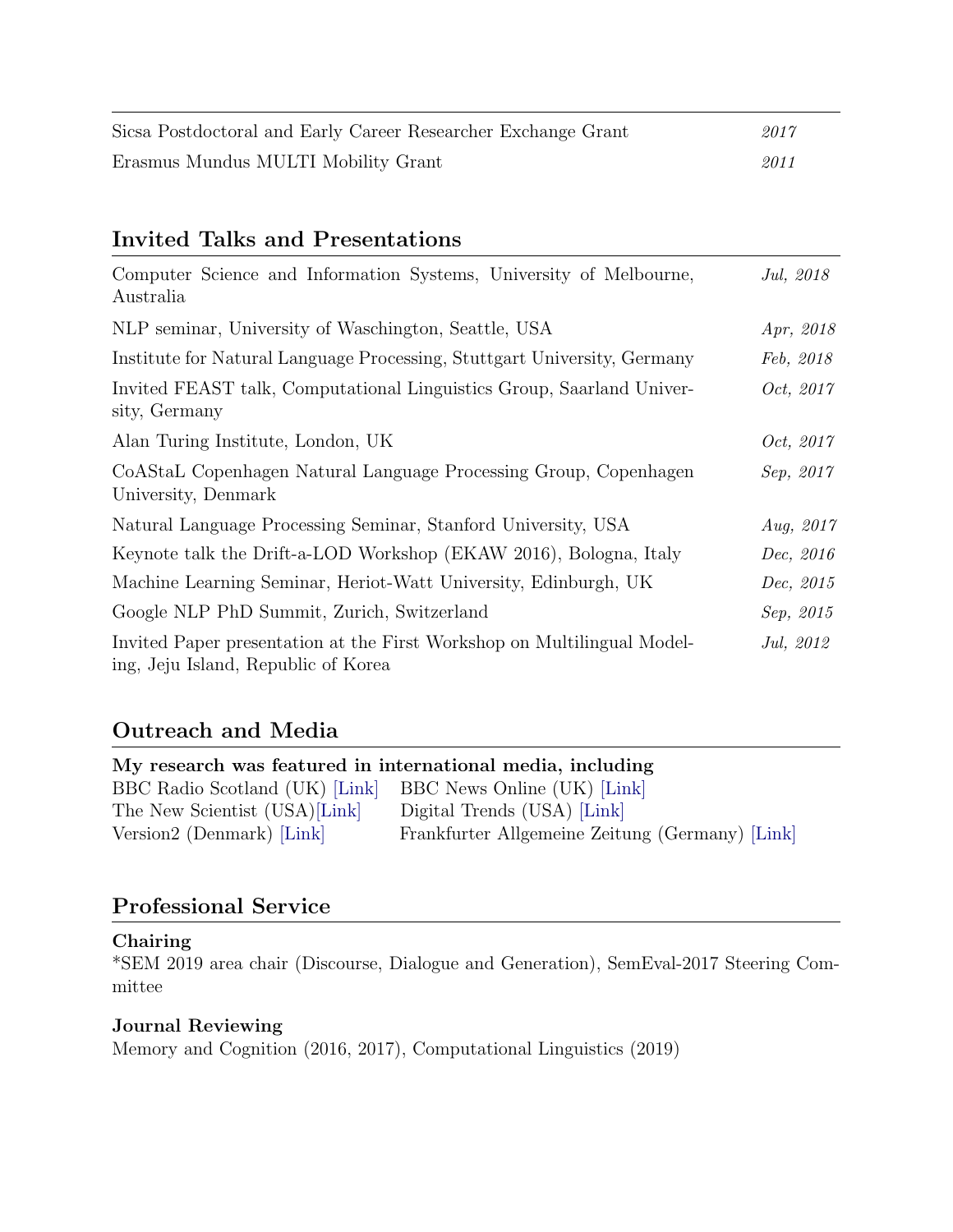| Sicsa Postdoctoral and Early Career Researcher Exchange Grant | 2017 |
|---------------------------------------------------------------|------|
| Erasmus Mundus MULTI Mobility Grant                           | 2011 |

## Invited Talks and Presentations

| Computer Science and Information Systems, University of Melbourne,<br>Australia                                | Jul, 2018        |
|----------------------------------------------------------------------------------------------------------------|------------------|
| NLP seminar, University of Waschington, Seattle, USA                                                           | Apr, 2018        |
| Institute for Natural Language Processing, Stuttgart University, Germany                                       | Feb, 2018        |
| Invited FEAST talk, Computational Linguistics Group, Saarland Univer-<br>sity, Germany                         | Oct, 2017        |
| Alan Turing Institute, London, UK                                                                              | <i>Oct, 2017</i> |
| CoAStaL Copenhagen Natural Language Processing Group, Copenhagen<br>University, Denmark                        | Sep, 2017        |
| Natural Language Processing Seminar, Stanford University, USA                                                  | Aug, $2017$      |
| Keynote talk the Drift-a-LOD Workshop (EKAW 2016), Bologna, Italy                                              | Dec, 2016        |
| Machine Learning Seminar, Heriot-Watt University, Edinburgh, UK                                                | Dec, 2015        |
| Google NLP PhD Summit, Zurich, Switzerland                                                                     | Sep, 2015        |
| Invited Paper presentation at the First Workshop on Multilingual Model-<br>ing, Jeju Island, Republic of Korea | Jul, 2012        |

# Outreach and Media

| My research was featured in international media, including |                                                 |  |  |  |
|------------------------------------------------------------|-------------------------------------------------|--|--|--|
| BBC Radio Scotland (UK) [Link]                             | BBC News Online (UK) [Link]                     |  |  |  |
| The New Scientist (USA)[Link]                              | Digital Trends (USA) [Link]                     |  |  |  |
| Version2 (Denmark) [Link]                                  | Frankfurter Allgemeine Zeitung (Germany) [Link] |  |  |  |

# Professional Service

### Chairing

\*SEM 2019 area chair (Discourse, Dialogue and Generation), SemEval-2017 Steering Committee

# Journal Reviewing

Memory and Cognition (2016, 2017), Computational Linguistics (2019)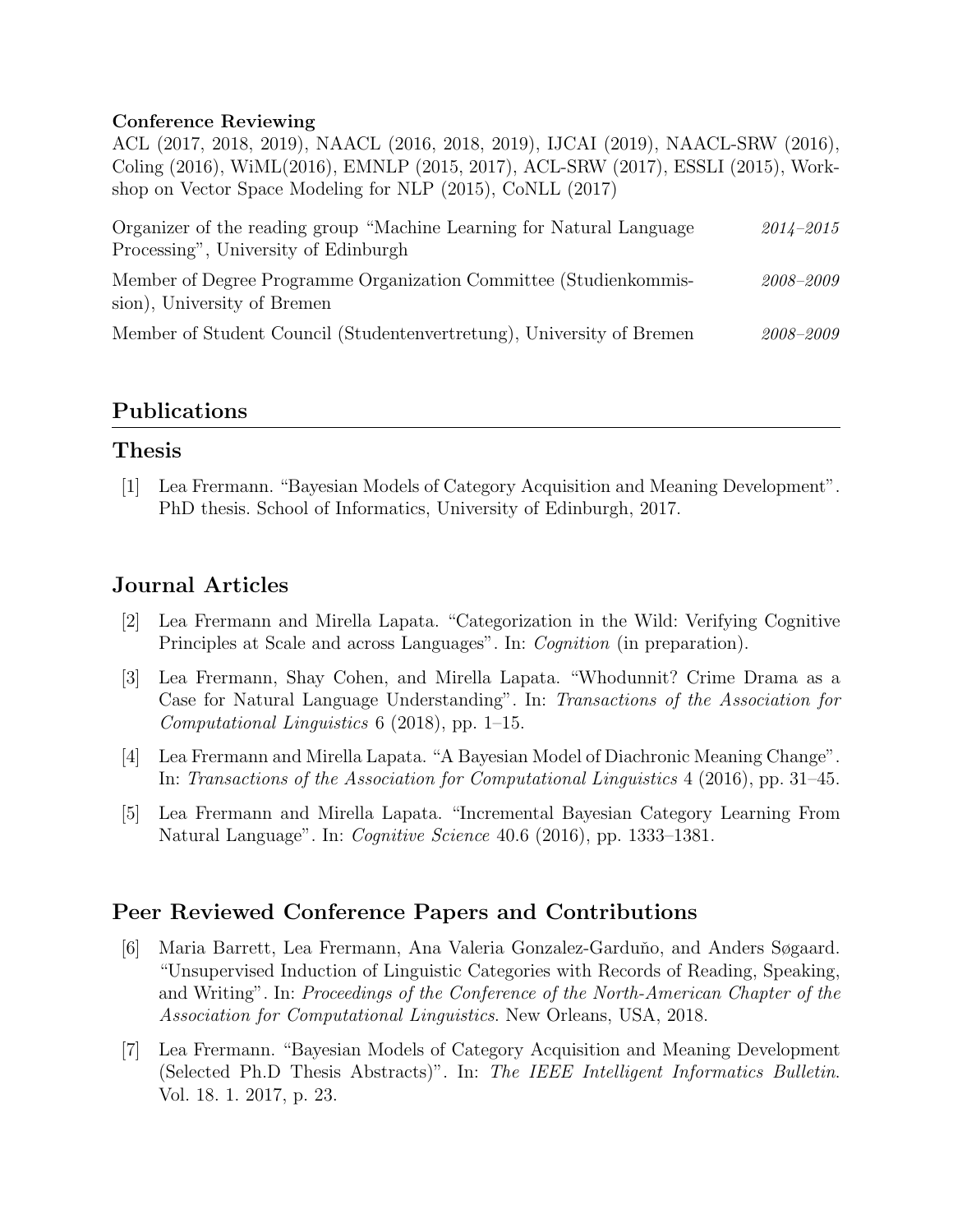#### Conference Reviewing

ACL (2017, 2018, 2019), NAACL (2016, 2018, 2019), IJCAI (2019), NAACL-SRW (2016), Coling (2016), WiML(2016), EMNLP (2015, 2017), ACL-SRW (2017), ESSLI (2015), Workshop on Vector Space Modeling for NLP (2015), CoNLL (2017)

| Organizer of the reading group "Machine Learning for Natural Language                            | $2014 - 2015$ |
|--------------------------------------------------------------------------------------------------|---------------|
| Processing", University of Edinburgh                                                             |               |
| Member of Degree Programme Organization Committee (Studienkommis-<br>sion), University of Bremen | 2008-2009     |
| Member of Student Council (Studentenvertretung), University of Bremen                            | 2008-2009     |

### Publications

### Thesis

[1] Lea Frermann. "Bayesian Models of Category Acquisition and Meaning Development". PhD thesis. School of Informatics, University of Edinburgh, 2017.

## Journal Articles

- [2] Lea Frermann and Mirella Lapata. "Categorization in the Wild: Verifying Cognitive Principles at Scale and across Languages". In: Cognition (in preparation).
- [3] Lea Frermann, Shay Cohen, and Mirella Lapata. "Whodunnit? Crime Drama as a Case for Natural Language Understanding". In: Transactions of the Association for Computational Linguistics 6 (2018), pp. 1–15.
- [4] Lea Frermann and Mirella Lapata. "A Bayesian Model of Diachronic Meaning Change". In: Transactions of the Association for Computational Linguistics 4 (2016), pp. 31–45.
- [5] Lea Frermann and Mirella Lapata. "Incremental Bayesian Category Learning From Natural Language". In: *Cognitive Science* 40.6 (2016), pp. 1333–1381.

### Peer Reviewed Conference Papers and Contributions

- [6] Maria Barrett, Lea Frermann, Ana Valeria Gonzalez-Garduño, and Anders Søgaard. "Unsupervised Induction of Linguistic Categories with Records of Reading, Speaking, and Writing". In: Proceedings of the Conference of the North-American Chapter of the Association for Computational Linguistics. New Orleans, USA, 2018.
- [7] Lea Frermann. "Bayesian Models of Category Acquisition and Meaning Development (Selected Ph.D Thesis Abstracts)". In: The IEEE Intelligent Informatics Bulletin. Vol. 18. 1. 2017, p. 23.